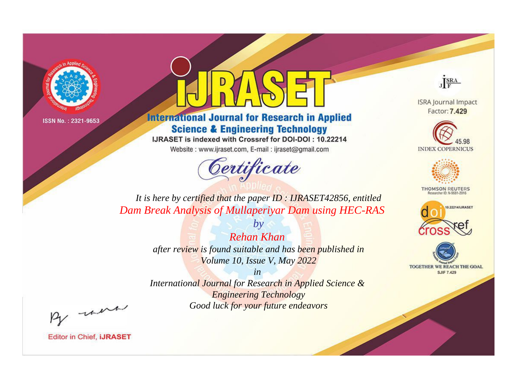

# **International Journal for Research in Applied Science & Engineering Technology**

IJRASET is indexed with Crossref for DOI-DOI: 10.22214

Website: www.ijraset.com, E-mail: ijraset@gmail.com



JERA

**ISRA Journal Impact** Factor: 7.429





**THOMSON REUTERS** 



TOGETHER WE REACH THE GOAL **SJIF 7.429** 

*It is here by certified that the paper ID : IJRASET42856, entitled Dam Break Analysis of Mullaperiyar Dam using HEC-RAS*

> *Rehan Khan after review is found suitable and has been published in Volume 10, Issue V, May 2022*

*by*

*in* 

*International Journal for Research in Applied Science & Engineering Technology Good luck for your future endeavors*

By morn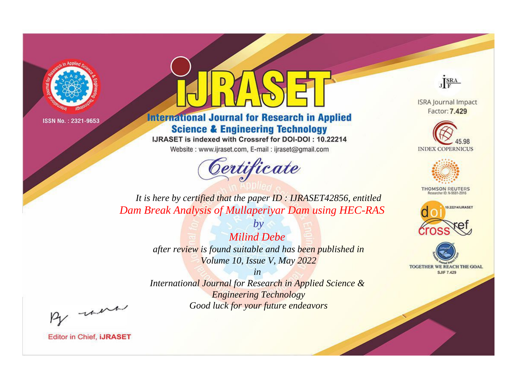

# **International Journal for Research in Applied Science & Engineering Technology**

IJRASET is indexed with Crossref for DOI-DOI: 10.22214

Website: www.ijraset.com, E-mail: ijraset@gmail.com



JERA

**ISRA Journal Impact** Factor: 7.429





**THOMSON REUTERS** 



TOGETHER WE REACH THE GOAL **SJIF 7.429** 

*It is here by certified that the paper ID : IJRASET42856, entitled Dam Break Analysis of Mullaperiyar Dam using HEC-RAS*

> *by Milind Debe after review is found suitable and has been published in Volume 10, Issue V, May 2022*

> > *in*

*International Journal for Research in Applied Science & Engineering Technology Good luck for your future endeavors*

By morn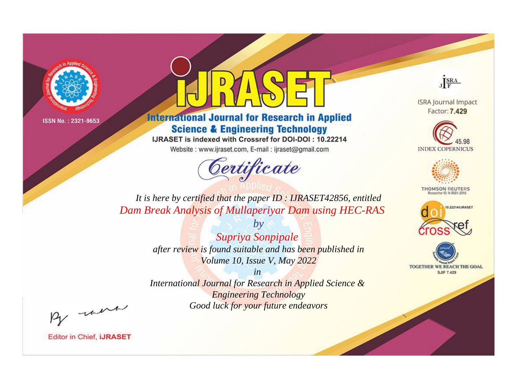

# **International Journal for Research in Applied Science & Engineering Technology**

IJRASET is indexed with Crossref for DOI-DOI: 10.22214

Website: www.ijraset.com, E-mail: ijraset@gmail.com



JERA

**ISRA Journal Impact** Factor: 7.429





**THOMSON REUTERS** 



TOGETHER WE REACH THE GOAL **SJIF 7.429** 

*It is here by certified that the paper ID : IJRASET42856, entitled Dam Break Analysis of Mullaperiyar Dam using HEC-RAS*

> *by Supriya Sonpipale after review is found suitable and has been published in Volume 10, Issue V, May 2022*

> > *in*

*International Journal for Research in Applied Science & Engineering Technology Good luck for your future endeavors*

By morn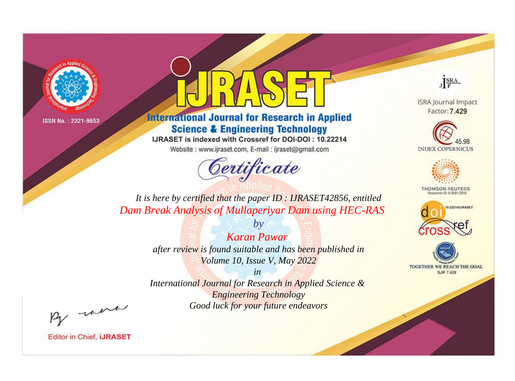

# **International Journal for Research in Applied Science & Engineering Technology**

IJRASET is indexed with Crossref for DOI-DOI: 10.22214

Website: www.ijraset.com, E-mail: ijraset@gmail.com



JERA

**ISRA Journal Impact** Factor: 7.429





**THOMSON REUTERS** 



TOGETHER WE REACH THE GOAL **SJIF 7.429** 

*It is here by certified that the paper ID : IJRASET42856, entitled Dam Break Analysis of Mullaperiyar Dam using HEC-RAS*

> *Karan Pawar after review is found suitable and has been published in Volume 10, Issue V, May 2022*

*by*

*in* 

*International Journal for Research in Applied Science & Engineering Technology Good luck for your future endeavors*

By morn